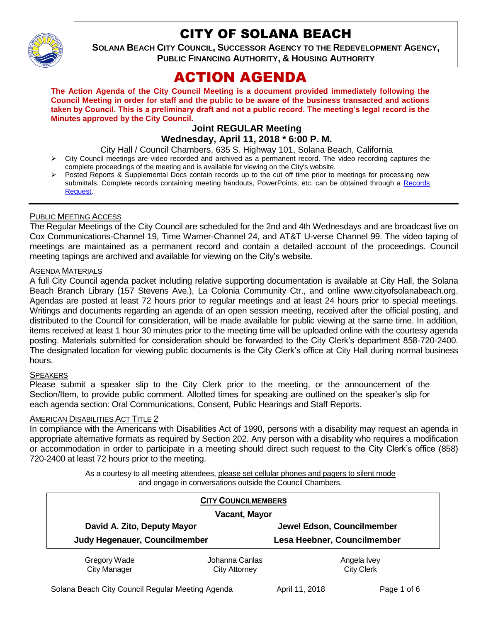

# CITY OF SOLANA BEACH

**SOLANA BEACH CITY COUNCIL, SUCCESSOR AGENCY TO THE REDEVELOPMENT AGENCY, PUBLIC FINANCING AUTHORITY, & HOUSING AUTHORITY** 

# ACTION AGENDA

**The Action Agenda of the City Council Meeting is a document provided immediately following the Council Meeting in order for staff and the public to be aware of the business transacted and actions taken by Council. This is a preliminary draft and not a public record. The meeting's legal record is the Minutes approved by the City Council.**

# **Joint REGULAR Meeting**

# **Wednesday, April 11, 2018 \* 6:00 P. M.**

- City Hall / Council Chambers, 635 S. Highway 101, Solana Beach, California
- City Council meetings are video recorded and archived as a permanent record. The video recording captures the complete proceedings of the meeting and is available for viewing on the City's website.
- Posted Reports & Supplemental Docs contain records up to the cut off time prior to meetings for processing new submittals. Complete records containing meeting handouts, PowerPoints, etc. can be obtained through a [Records](http://www.ci.solana-beach.ca.us/index.asp?SEC=F5D45D10-70CE-4291-A27C-7BD633FC6742&Type=B_BASIC)  [Request.](http://www.ci.solana-beach.ca.us/index.asp?SEC=F5D45D10-70CE-4291-A27C-7BD633FC6742&Type=B_BASIC)

#### PUBLIC MEETING ACCESS

The Regular Meetings of the City Council are scheduled for the 2nd and 4th Wednesdays and are broadcast live on Cox Communications-Channel 19, Time Warner-Channel 24, and AT&T U-verse Channel 99. The video taping of meetings are maintained as a permanent record and contain a detailed account of the proceedings. Council meeting tapings are archived and available for viewing on the City's website.

#### AGENDA MATERIALS

A full City Council agenda packet including relative supporting documentation is available at City Hall, the Solana Beach Branch Library (157 Stevens Ave.), La Colonia Community Ctr., and online www.cityofsolanabeach.org. Agendas are posted at least 72 hours prior to regular meetings and at least 24 hours prior to special meetings. Writings and documents regarding an agenda of an open session meeting, received after the official posting, and distributed to the Council for consideration, will be made available for public viewing at the same time. In addition, items received at least 1 hour 30 minutes prior to the meeting time will be uploaded online with the courtesy agenda posting. Materials submitted for consideration should be forwarded to the City Clerk's department 858-720-2400. The designated location for viewing public documents is the City Clerk's office at City Hall during normal business hours.

#### **SPEAKERS**

Please submit a speaker slip to the City Clerk prior to the meeting, or the announcement of the Section/Item, to provide public comment. Allotted times for speaking are outlined on the speaker's slip for each agenda section: Oral Communications, Consent, Public Hearings and Staff Reports.

#### AMERICAN DISABILITIES ACT TITLE 2

In compliance with the Americans with Disabilities Act of 1990, persons with a disability may request an agenda in appropriate alternative formats as required by Section 202. Any person with a disability who requires a modification or accommodation in order to participate in a meeting should direct such request to the City Clerk's office (858) 720-2400 at least 72 hours prior to the meeting.

> As a courtesy to all meeting attendees, please set cellular phones and pagers to silent mode and engage in conversations outside the Council Chambers.

|                                                              | <b>CITY COUNCILMEMBERS</b> |                             |  |
|--------------------------------------------------------------|----------------------------|-----------------------------|--|
| <b>Vacant, Mayor</b>                                         |                            |                             |  |
| David A. Zito, Deputy Mayor<br>Judy Hegenauer, Councilmember |                            | Jewel Edson, Councilmember  |  |
|                                                              |                            | Lesa Heebner, Councilmember |  |
| Gregory Wade                                                 | Johanna Canlas             | Angela Ivey                 |  |
| <b>City Manager</b>                                          | <b>City Attorney</b>       | <b>City Clerk</b>           |  |

Solana Beach City Council Regular Meeting Agenda April 11, 2018 Page 1 of 6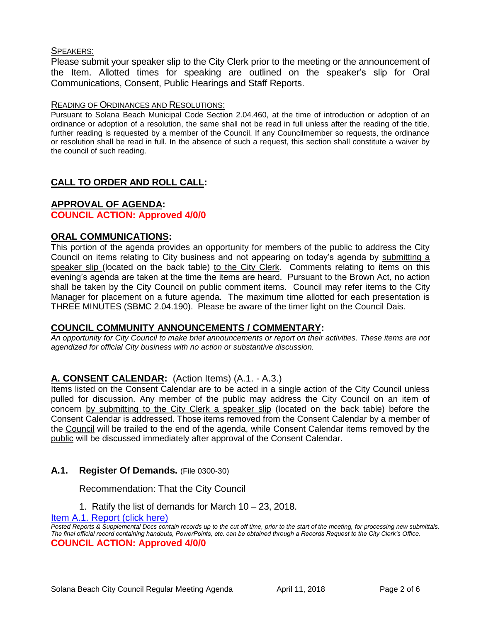#### SPEAKERS:

Please submit your speaker slip to the City Clerk prior to the meeting or the announcement of the Item. Allotted times for speaking are outlined on the speaker's slip for Oral Communications, Consent, Public Hearings and Staff Reports.

#### READING OF ORDINANCES AND RESOLUTIONS:

Pursuant to Solana Beach Municipal Code Section 2.04.460, at the time of introduction or adoption of an ordinance or adoption of a resolution, the same shall not be read in full unless after the reading of the title, further reading is requested by a member of the Council. If any Councilmember so requests, the ordinance or resolution shall be read in full. In the absence of such a request, this section shall constitute a waiver by the council of such reading.

# **CALL TO ORDER AND ROLL CALL:**

#### **APPROVAL OF AGENDA: COUNCIL ACTION: Approved 4/0/0**

#### **ORAL COMMUNICATIONS:** This portion of the agenda provides an opportunity for members of the public to address the City Council on items relating to City business and not appearing on today's agenda by submitting a speaker slip (located on the back table) to the City Clerk. Comments relating to items on this evening's agenda are taken at the time the items are heard. Pursuant to the Brown Act, no action shall be taken by the City Council on public comment items. Council may refer items to the City Manager for placement on a future agenda. The maximum time allotted for each presentation is

THREE MINUTES (SBMC 2.04.190). Please be aware of the timer light on the Council Dais.

# **COUNCIL COMMUNITY ANNOUNCEMENTS / COMMENTARY:**

*An opportunity for City Council to make brief announcements or report on their activities. These items are not agendized for official City business with no action or substantive discussion.* 

# **A. CONSENT CALENDAR:** (Action Items) (A.1. - A.3.)

Items listed on the Consent Calendar are to be acted in a single action of the City Council unless pulled for discussion. Any member of the public may address the City Council on an item of concern by submitting to the City Clerk a speaker slip (located on the back table) before the Consent Calendar is addressed. Those items removed from the Consent Calendar by a member of the Council will be trailed to the end of the agenda, while Consent Calendar items removed by the public will be discussed immediately after approval of the Consent Calendar.

# **A.1. Register Of Demands.** (File 0300-30)

#### Recommendation: That the City Council

1. Ratify the list of demands for March 10 – 23, 2018.

[Item A.1. Report \(click here\)](https://solanabeach.govoffice3.com/vertical/Sites/%7B840804C2-F869-4904-9AE3-720581350CE7%7D/uploads/Item_A.1._Report_(click_here)-4-11-18.PDF)

*Posted Reports & Supplemental Docs contain records up to the cut off time, prior to the start of the meeting, for processing new submittals. The final official record containing handouts, PowerPoints, etc. can be obtained through a Records Request to the City Clerk's Office.* **COUNCIL ACTION: Approved 4/0/0**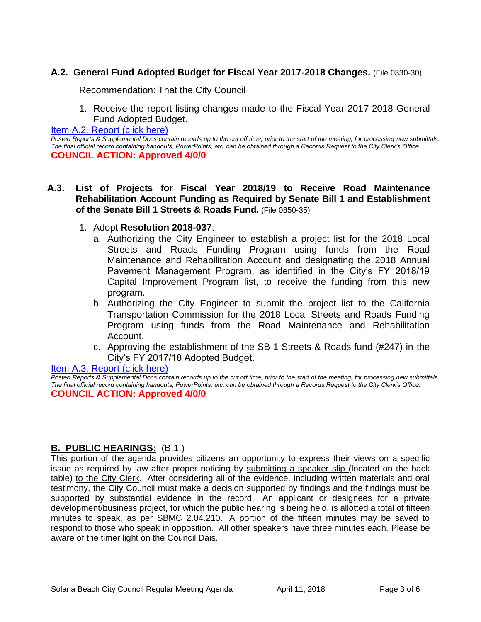# **A.2. General Fund Adopted Budget for Fiscal Year 2017-2018 Changes.** (File 0330-30)

Recommendation: That the City Council

1. Receive the report listing changes made to the Fiscal Year 2017-2018 General Fund Adopted Budget.

[Item A.2. Report \(click here\)](https://solanabeach.govoffice3.com/vertical/Sites/%7B840804C2-F869-4904-9AE3-720581350CE7%7D/uploads/Item_A.2._Report_(click_here)_-4-11-18.PDF)

*Posted Reports & Supplemental Docs contain records up to the cut off time, prior to the start of the meeting, for processing new submittals. The final official record containing handouts, PowerPoints, etc. can be obtained through a Records Request to the City Clerk's Office.* **COUNCIL ACTION: Approved 4/0/0**

- **A.3. List of Projects for Fiscal Year 2018/19 to Receive Road Maintenance Rehabilitation Account Funding as Required by Senate Bill 1 and Establishment of the Senate Bill 1 Streets & Roads Fund.** (File 0850-35)
	- 1. Adopt **Resolution 2018-037**:
		- a. Authorizing the City Engineer to establish a project list for the 2018 Local Streets and Roads Funding Program using funds from the Road Maintenance and Rehabilitation Account and designating the 2018 Annual Pavement Management Program, as identified in the City's FY 2018/19 Capital Improvement Program list, to receive the funding from this new program.
		- b. Authorizing the City Engineer to submit the project list to the California Transportation Commission for the 2018 Local Streets and Roads Funding Program using funds from the Road Maintenance and Rehabilitation Account.
		- c. Approving the establishment of the SB 1 Streets & Roads fund (#247) in the City's FY 2017/18 Adopted Budget.

[Item A.3. Report \(click here\)](https://solanabeach.govoffice3.com/vertical/Sites/%7B840804C2-F869-4904-9AE3-720581350CE7%7D/uploads/Item_A.3._Report_(click_here)_-4-11-18.PDF) *Posted Reports & Supplemental Docs contain records up to the cut off time, prior to the start of the meeting, for processing new submittals. The final official record containing handouts, PowerPoints, etc. can be obtained through a Records Request to the City Clerk's Office.* **COUNCIL ACTION: Approved 4/0/0**

# **B. PUBLIC HEARINGS:** (B.1.)

This portion of the agenda provides citizens an opportunity to express their views on a specific issue as required by law after proper noticing by submitting a speaker slip (located on the back table) to the City Clerk. After considering all of the evidence, including written materials and oral testimony, the City Council must make a decision supported by findings and the findings must be supported by substantial evidence in the record. An applicant or designees for a private development/business project, for which the public hearing is being held, is allotted a total of fifteen minutes to speak, as per SBMC 2.04.210. A portion of the fifteen minutes may be saved to respond to those who speak in opposition. All other speakers have three minutes each. Please be aware of the timer light on the Council Dais.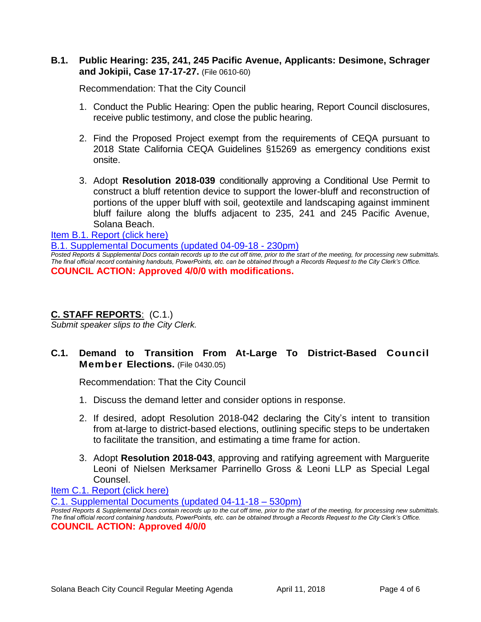# **B.1. Public Hearing: 235, 241, 245 Pacific Avenue, Applicants: Desimone, Schrager and Jokipii, Case 17-17-27.** (File 0610-60)

Recommendation: That the City Council

- 1. Conduct the Public Hearing: Open the public hearing, Report Council disclosures, receive public testimony, and close the public hearing.
- 2. Find the Proposed Project exempt from the requirements of CEQA pursuant to 2018 State California CEQA Guidelines §15269 as emergency conditions exist onsite.
- 3. Adopt **Resolution 2018-039** conditionally approving a Conditional Use Permit to construct a bluff retention device to support the lower-bluff and reconstruction of portions of the upper bluff with soil, geotextile and landscaping against imminent bluff failure along the bluffs adjacent to 235, 241 and 245 Pacific Avenue, Solana Beach.

[Item B.1. Report \(click here\)](https://solanabeach.govoffice3.com/vertical/Sites/%7B840804C2-F869-4904-9AE3-720581350CE7%7D/uploads/Item_B.1._Report_(click_here)_-4-11-18.PDF) 

[B.1. Supplemental Documents \(updated 04-09-18 -](https://solanabeach.govoffice3.com/vertical/Sites/%7B840804C2-F869-4904-9AE3-720581350CE7%7D/uploads/B.1._Supplemental_Documents_(4-09_updated_230pm).pdf) 230pm)

*Posted Reports & Supplemental Docs contain records up to the cut off time, prior to the start of the meeting, for processing new submittals. The final official record containing handouts, PowerPoints, etc. can be obtained through a Records Request to the City Clerk's Office.* **COUNCIL ACTION: Approved 4/0/0 with modifications.** 

# **C. STAFF REPORTS**: (C.1.)

*Submit speaker slips to the City Clerk.*

# **C.1. Demand to Transition From At-Large To District-Based Council Member Elections.** (File 0430.05)

Recommendation: That the City Council

- 1. Discuss the demand letter and consider options in response.
- 2. If desired, adopt Resolution 2018-042 declaring the City's intent to transition from at-large to district-based elections, outlining specific steps to be undertaken to facilitate the transition, and estimating a time frame for action.
- 3. Adopt **Resolution 2018-043**, approving and ratifying agreement with Marguerite Leoni of Nielsen Merksamer Parrinello Gross & Leoni LLP as Special Legal Counsel.

[Item C.1. Report \(click here\)](https://solanabeach.govoffice3.com/vertical/Sites/%7B840804C2-F869-4904-9AE3-720581350CE7%7D/uploads/Item_C.1._Report_(click_here)_-04-11-18.PDF)

[C.1. Supplemental Documents \(updated 04-11-18 –](https://solanabeach.govoffice3.com/vertical/Sites/%7B840804C2-F869-4904-9AE3-720581350CE7%7D/uploads/C.1._Supplemental_Docs_-_04-11_(530pm).pdf) 530pm)

*Posted Reports & Supplemental Docs contain records up to the cut off time, prior to the start of the meeting, for processing new submittals. The final official record containing handouts, PowerPoints, etc. can be obtained through a Records Request to the City Clerk's Office.* **COUNCIL ACTION: Approved 4/0/0**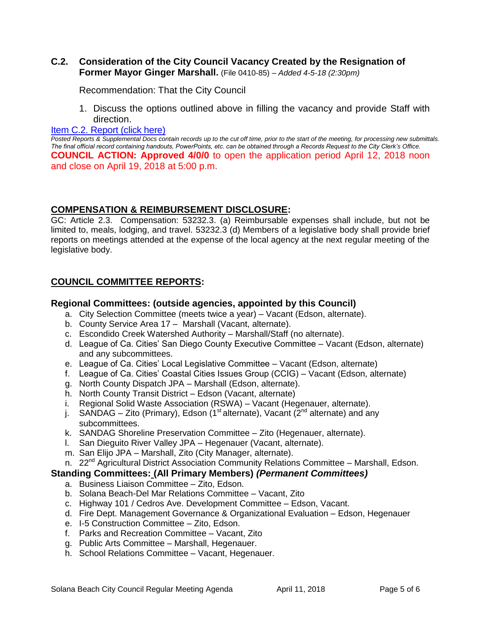### **C.2. Consideration of the City Council Vacancy Created by the Resignation of Former Mayor Ginger Marshall.** (File 0410-85) – *Added 4-5-18 (2:30pm)*

Recommendation: That the City Council

1. Discuss the options outlined above in filling the vacancy and provide Staff with direction.

#### [Item C.2. Report \(click here\)](https://solanabeach.govoffice3.com/vertical/Sites/%7B840804C2-F869-4904-9AE3-720581350CE7%7D/uploads/Item_C.2._Report_(click_here)_-4-11-18.pdf)

*Posted Reports & Supplemental Docs contain records up to the cut off time, prior to the start of the meeting, for processing new submittals. The final official record containing handouts, PowerPoints, etc. can be obtained through a Records Request to the City Clerk's Office.* **COUNCIL ACTION: Approved 4/0/0** to open the application period April 12, 2018 noon and close on April 19, 2018 at 5:00 p.m.

#### **COMPENSATION & REIMBURSEMENT DISCLOSURE:**

GC: Article 2.3. Compensation: 53232.3. (a) Reimbursable expenses shall include, but not be limited to, meals, lodging, and travel. 53232.3 (d) Members of a legislative body shall provide brief reports on meetings attended at the expense of the local agency at the next regular meeting of the legislative body.

# **COUNCIL COMMITTEE REPORTS:**

#### **Regional Committees: (outside agencies, appointed by this Council)**

- a. City Selection Committee (meets twice a year) Vacant (Edson, alternate).
- b. County Service Area 17 Marshall (Vacant, alternate).
- c. Escondido Creek Watershed Authority Marshall/Staff (no alternate).
- d. League of Ca. Cities' San Diego County Executive Committee Vacant (Edson, alternate) and any subcommittees.
- e. League of Ca. Cities' Local Legislative Committee Vacant (Edson, alternate)
- f. League of Ca. Cities' Coastal Cities Issues Group (CCIG) Vacant (Edson, alternate)
- g. North County Dispatch JPA Marshall (Edson, alternate).
- h. North County Transit District Edson (Vacant, alternate)
- i. Regional Solid Waste Association (RSWA) Vacant (Hegenauer, alternate).
- j. SANDAG Zito (Primary), Edson (1<sup>st</sup> alternate), Vacant ( $2^{nd}$  alternate) and any subcommittees.
- k. SANDAG Shoreline Preservation Committee Zito (Hegenauer, alternate).
- l. San Dieguito River Valley JPA Hegenauer (Vacant, alternate).
- m. San Elijo JPA Marshall, Zito (City Manager, alternate).
- n. 22<sup>nd</sup> Agricultural District Association Community Relations Committee Marshall, Edson.

#### **Standing Committees: (All Primary Members)** *(Permanent Committees)*

- a. Business Liaison Committee Zito, Edson.
- b. Solana Beach-Del Mar Relations Committee Vacant, Zito
- c. Highway 101 / Cedros Ave. Development Committee Edson, Vacant.
- d. Fire Dept. Management Governance & Organizational Evaluation Edson, Hegenauer
- e. I-5 Construction Committee Zito, Edson.
- f. Parks and Recreation Committee Vacant, Zito
- g. Public Arts Committee Marshall, Hegenauer.
- h. School Relations Committee Vacant, Hegenauer.